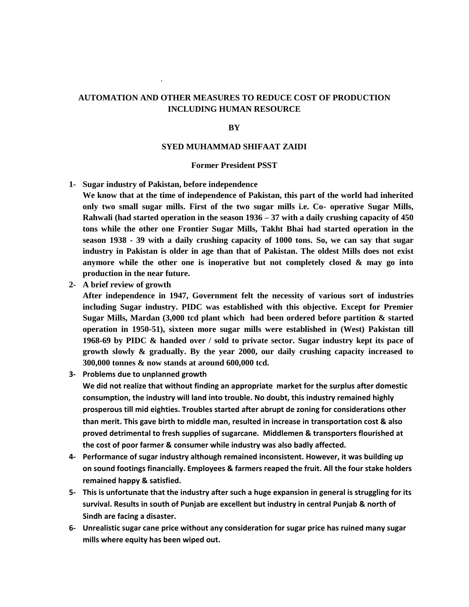## **AUTOMATION AND OTHER MEASURES TO REDUCE COST OF PRODUCTION INCLUDING HUMAN RESOURCE**

## **BY**

## **SYED MUHAMMAD SHIFAAT ZAIDI**

## **Former President PSST**

**1- Sugar industry of Pakistan, before independence**

**We know that at the time of independence of Pakistan, this part of the world had inherited only two small sugar mills. First of the two sugar mills i.e. Co- operative Sugar Mills, Rahwali (had started operation in the season 1936 – 37 with a daily crushing capacity of 450 tons while the other one Frontier Sugar Mills, Takht Bhai had started operation in the season 1938 - 39 with a daily crushing capacity of 1000 tons. So, we can say that sugar industry in Pakistan is older in age than that of Pakistan. The oldest Mills does not exist anymore while the other one is inoperative but not completely closed & may go into production in the near future.**

**2- A brief review of growth**

.

**After independence in 1947, Government felt the necessity of various sort of industries including Sugar industry. PIDC was established with this objective. Except for Premier Sugar Mills, Mardan (3,000 tcd plant which had been ordered before partition & started operation in 1950-51), sixteen more sugar mills were established in (West) Pakistan till 1968-69 by PIDC & handed over / sold to private sector. Sugar industry kept its pace of growth slowly & gradually. By the year 2000, our daily crushing capacity increased to 300,000 tonnes & now stands at around 600,000 tcd.** 

**3- Problems due to unplanned growth**

**We did not realize that without finding an appropriate market for the surplus after domestic consumption, the industry will land into trouble. No doubt, this industry remained highly prosperous till mid eighties. Troubles started after abrupt de zoning for considerations other than merit. This gave birth to middle man, resulted in increase in transportation cost & also proved detrimental to fresh supplies of sugarcane. Middlemen & transporters flourished at the cost of poor farmer & consumer while industry was also badly affected.** 

- **4- Performance of sugar industry although remained inconsistent. However, it was building up on sound footings financially. Employees & farmers reaped the fruit. All the four stake holders remained happy & satisfied.**
- **5- This is unfortunate that the industry after such a huge expansion in general is struggling for its survival. Results in south of Punjab are excellent but industry in central Punjab & north of Sindh are facing a disaster.**
- **6- Unrealistic sugar cane price without any consideration for sugar price has ruined many sugar mills where equity has been wiped out.**